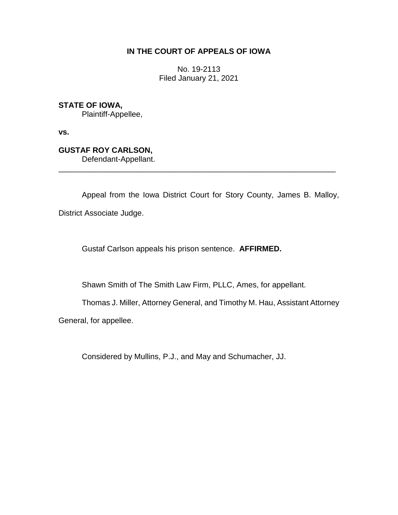## **IN THE COURT OF APPEALS OF IOWA**

No. 19-2113 Filed January 21, 2021

**STATE OF IOWA,**

Plaintiff-Appellee,

**vs.**

**GUSTAF ROY CARLSON,**

Defendant-Appellant.

Appeal from the Iowa District Court for Story County, James B. Malloy, District Associate Judge.

\_\_\_\_\_\_\_\_\_\_\_\_\_\_\_\_\_\_\_\_\_\_\_\_\_\_\_\_\_\_\_\_\_\_\_\_\_\_\_\_\_\_\_\_\_\_\_\_\_\_\_\_\_\_\_\_\_\_\_\_\_\_\_\_

Gustaf Carlson appeals his prison sentence. **AFFIRMED.**

Shawn Smith of The Smith Law Firm, PLLC, Ames, for appellant.

Thomas J. Miller, Attorney General, and Timothy M. Hau, Assistant Attorney

General, for appellee.

Considered by Mullins, P.J., and May and Schumacher, JJ.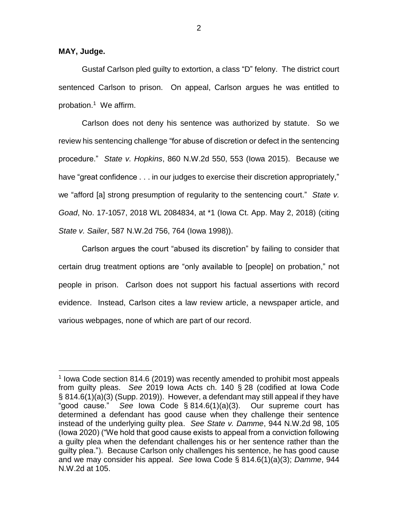**MAY, Judge.**

 $\overline{a}$ 

Gustaf Carlson pled guilty to extortion, a class "D" felony. The district court sentenced Carlson to prison. On appeal, Carlson argues he was entitled to probation. 1 We affirm.

Carlson does not deny his sentence was authorized by statute. So we review his sentencing challenge "for abuse of discretion or defect in the sentencing procedure." *State v. Hopkins*, 860 N.W.2d 550, 553 (Iowa 2015). Because we have "great confidence . . . in our judges to exercise their discretion appropriately," we "afford [a] strong presumption of regularity to the sentencing court." *State v. Goad*, No. 17-1057, 2018 WL 2084834, at \*1 (Iowa Ct. App. May 2, 2018) (citing *State v. Sailer*, 587 N.W.2d 756, 764 (Iowa 1998)).

Carlson argues the court "abused its discretion" by failing to consider that certain drug treatment options are "only available to [people] on probation," not people in prison. Carlson does not support his factual assertions with record evidence. Instead, Carlson cites a law review article, a newspaper article, and various webpages, none of which are part of our record.

<sup>&</sup>lt;sup>1</sup> Iowa Code section 814.6 (2019) was recently amended to prohibit most appeals from guilty pleas. *See* 2019 Iowa Acts ch. 140 § 28 (codified at Iowa Code § 814.6(1)(a)(3) (Supp. 2019)). However, a defendant may still appeal if they have "good cause." *See* Iowa Code § 814.6(1)(a)(3). Our supreme court has determined a defendant has good cause when they challenge their sentence instead of the underlying guilty plea. *See State v. Damme*, 944 N.W.2d 98, 105 (Iowa 2020) ("We hold that good cause exists to appeal from a conviction following a guilty plea when the defendant challenges his or her sentence rather than the guilty plea."). Because Carlson only challenges his sentence, he has good cause and we may consider his appeal. *See* Iowa Code § 814.6(1)(a)(3); *Damme*, 944 N.W.2d at 105.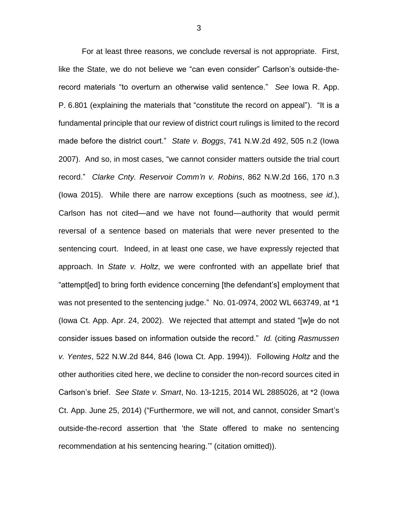For at least three reasons, we conclude reversal is not appropriate. First, like the State, we do not believe we "can even consider" Carlson's outside-therecord materials "to overturn an otherwise valid sentence." *See* Iowa R. App. P. 6.801 (explaining the materials that "constitute the record on appeal"). "It is a fundamental principle that our review of district court rulings is limited to the record made before the district court." *State v. Boggs*, 741 N.W.2d 492, 505 n.2 (Iowa 2007). And so, in most cases, "we cannot consider matters outside the trial court record." *Clarke Cnty. Reservoir Comm'n v. Robins*, 862 N.W.2d 166, 170 n.3 (Iowa 2015). While there are narrow exceptions (such as mootness, *see id.*), Carlson has not cited—and we have not found—authority that would permit reversal of a sentence based on materials that were never presented to the sentencing court. Indeed, in at least one case, we have expressly rejected that approach. In *State v. Holtz*, we were confronted with an appellate brief that "attempt[ed] to bring forth evidence concerning [the defendant's] employment that was not presented to the sentencing judge." No. 01-0974, 2002 WL 663749, at \*1 (Iowa Ct. App. Apr. 24, 2002). We rejected that attempt and stated "[w]e do not consider issues based on information outside the record." *Id.* (citing *Rasmussen v. Yentes*, 522 N.W.2d 844, 846 (Iowa Ct. App. 1994)). Following *Holtz* and the other authorities cited here, we decline to consider the non-record sources cited in Carlson's brief. *See State v. Smart*, No. 13-1215, 2014 WL 2885026, at \*2 (Iowa Ct. App. June 25, 2014) ("Furthermore, we will not, and cannot, consider Smart's outside-the-record assertion that 'the State offered to make no sentencing recommendation at his sentencing hearing.'" (citation omitted)).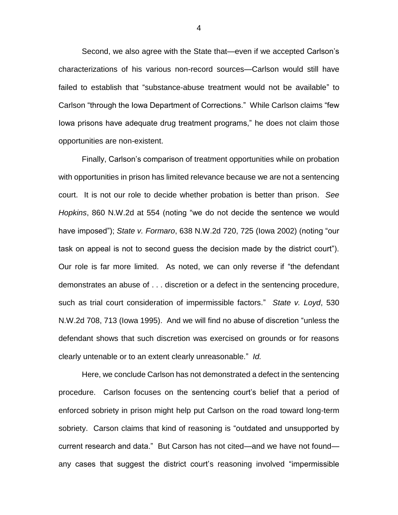Second, we also agree with the State that—even if we accepted Carlson's characterizations of his various non-record sources—Carlson would still have failed to establish that "substance-abuse treatment would not be available" to Carlson "through the Iowa Department of Corrections." While Carlson claims "few Iowa prisons have adequate drug treatment programs," he does not claim those opportunities are non-existent.

Finally, Carlson's comparison of treatment opportunities while on probation with opportunities in prison has limited relevance because we are not a sentencing court. It is not our role to decide whether probation is better than prison. *See Hopkins*, 860 N.W.2d at 554 (noting "we do not decide the sentence we would have imposed"); *State v. Formaro*, 638 N.W.2d 720, 725 (Iowa 2002) (noting "our task on appeal is not to second guess the decision made by the district court"). Our role is far more limited. As noted, we can only reverse if "the defendant demonstrates an abuse of . . . discretion or a defect in the sentencing procedure, such as trial court consideration of impermissible factors." *State v. Loyd*, 530 N.W.2d 708, 713 (Iowa 1995). And we will find no abuse of discretion "unless the defendant shows that such discretion was exercised on grounds or for reasons clearly untenable or to an extent clearly unreasonable." *Id.*

Here, we conclude Carlson has not demonstrated a defect in the sentencing procedure. Carlson focuses on the sentencing court's belief that a period of enforced sobriety in prison might help put Carlson on the road toward long-term sobriety. Carson claims that kind of reasoning is "outdated and unsupported by current research and data." But Carson has not cited—and we have not found any cases that suggest the district court's reasoning involved "impermissible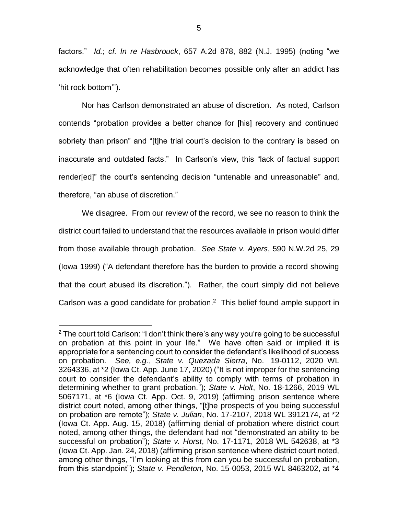factors." *Id.*; *cf. In re Hasbrouck*, 657 A.2d 878, 882 (N.J. 1995) (noting "we acknowledge that often rehabilitation becomes possible only after an addict has 'hit rock bottom'").

Nor has Carlson demonstrated an abuse of discretion. As noted, Carlson contends "probation provides a better chance for [his] recovery and continued sobriety than prison" and "[t]he trial court's decision to the contrary is based on inaccurate and outdated facts." In Carlson's view, this "lack of factual support render[ed]" the court's sentencing decision "untenable and unreasonable" and, therefore, "an abuse of discretion."

We disagree. From our review of the record, we see no reason to think the district court failed to understand that the resources available in prison would differ from those available through probation. *See State v. Ayers*, 590 N.W.2d 25, 29 (Iowa 1999) ("A defendant therefore has the burden to provide a record showing that the court abused its discretion."). Rather, the court simply did not believe Carlson was a good candidate for probation.<sup>2</sup> This belief found ample support in

 $\overline{a}$ 

 $2$  The court told Carlson: "I don't think there's any way you're going to be successful on probation at this point in your life." We have often said or implied it is appropriate for a sentencing court to consider the defendant's likelihood of success on probation. *See, e.g.*, *State v. Quezada Sierra*, No. 19-0112, 2020 WL 3264336, at \*2 (Iowa Ct. App. June 17, 2020) ("It is not improper for the sentencing court to consider the defendant's ability to comply with terms of probation in determining whether to grant probation."); *State v. Holt*, No. 18-1266, 2019 WL 5067171, at \*6 (Iowa Ct. App. Oct. 9, 2019) (affirming prison sentence where district court noted, among other things, "[t]he prospects of you being successful on probation are remote"); *State v. Julian*, No. 17-2107, 2018 WL 3912174, at \*2 (Iowa Ct. App. Aug. 15, 2018) (affirming denial of probation where district court noted, among other things, the defendant had not "demonstrated an ability to be successful on probation"); *State v. Horst*, No. 17-1171, 2018 WL 542638, at \*3 (Iowa Ct. App. Jan. 24, 2018) (affirming prison sentence where district court noted, among other things, "I'm looking at this from can you be successful on probation, from this standpoint"); *State v. Pendleton*, No. 15-0053, 2015 WL 8463202, at \*4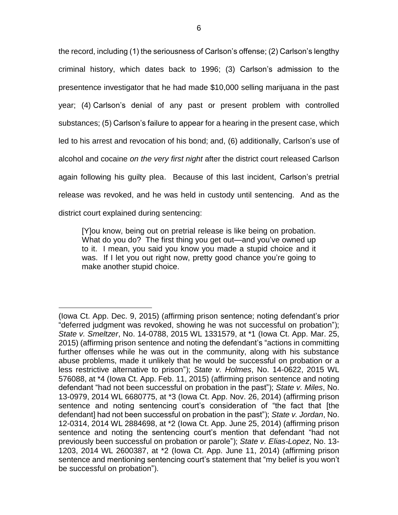the record, including (1) the seriousness of Carlson's offense; (2) Carlson's lengthy criminal history, which dates back to 1996; (3) Carlson's admission to the presentence investigator that he had made \$10,000 selling marijuana in the past year; (4) Carlson's denial of any past or present problem with controlled substances; (5) Carlson's failure to appear for a hearing in the present case, which led to his arrest and revocation of his bond; and, (6) additionally, Carlson's use of alcohol and cocaine *on the very first night* after the district court released Carlson again following his guilty plea. Because of this last incident, Carlson's pretrial release was revoked, and he was held in custody until sentencing. And as the district court explained during sentencing:

[Y]ou know, being out on pretrial release is like being on probation. What do you do? The first thing you get out—and you've owned up to it. I mean, you said you know you made a stupid choice and it was. If I let you out right now, pretty good chance you're going to make another stupid choice.

 $\overline{a}$ (Iowa Ct. App. Dec. 9, 2015) (affirming prison sentence; noting defendant's prior "deferred judgment was revoked, showing he was not successful on probation"); *State v. Smeltzer*, No. 14-0788, 2015 WL 1331579, at \*1 (Iowa Ct. App. Mar. 25, 2015) (affirming prison sentence and noting the defendant's "actions in committing further offenses while he was out in the community, along with his substance abuse problems, made it unlikely that he would be successful on probation or a less restrictive alternative to prison"); *State v. Holmes*, No. 14-0622, 2015 WL 576088, at \*4 (Iowa Ct. App. Feb. 11, 2015) (affirming prison sentence and noting defendant "had not been successful on probation in the past"); *State v. Miles*, No. 13-0979, 2014 WL 6680775, at \*3 (Iowa Ct. App. Nov. 26, 2014) (affirming prison sentence and noting sentencing court's consideration of "the fact that [the defendant] had not been successful on probation in the past"); *State v. Jordan*, No. 12-0314, 2014 WL 2884698, at \*2 (Iowa Ct. App. June 25, 2014) (affirming prison sentence and noting the sentencing court's mention that defendant "had not previously been successful on probation or parole"); *State v. Elias-Lopez*, No. 13- 1203, 2014 WL 2600387, at \*2 (Iowa Ct. App. June 11, 2014) (affirming prison sentence and mentioning sentencing court's statement that "my belief is you won't be successful on probation").